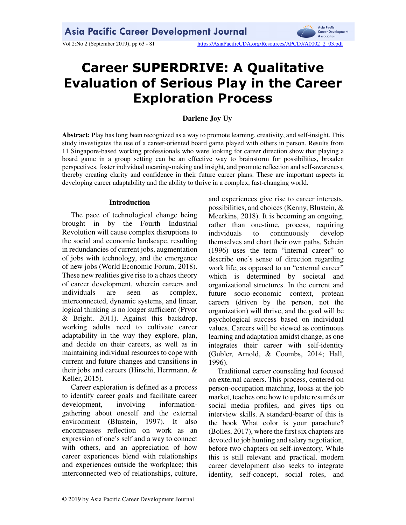Vol 2:No 2 (September 2019), pp 63 - 81 https://AsiaPacificCDA.org/Resources/APCDJ/A0002\_2\_03.pdf



# **Career SUPERDRIVE: A Qualitative Evaluation of Serious Play in the Career Exploration Process**

# **Darlene Joy Uy**

**Abstract:** Play has long been recognized as a way to promote learning, creativity, and self-insight. This study investigates the use of a career-oriented board game played with others in person. Results from 11 Singapore-based working professionals who were looking for career direction show that playing a board game in a group setting can be an effective way to brainstorm for possibilities, broaden perspectives, foster individual meaning-making and insight, and promote reflection and self-awareness, thereby creating clarity and confidence in their future career plans. These are important aspects in developing career adaptability and the ability to thrive in a complex, fast-changing world.

# **Introduction**

The pace of technological change being brought in by the Fourth Industrial Revolution will cause complex disruptions to the social and economic landscape, resulting in redundancies of current jobs, augmentation of jobs with technology, and the emergence of new jobs (World Economic Forum, 2018). These new realities give rise to a chaos theory of career development, wherein careers and individuals are seen as complex, interconnected, dynamic systems, and linear, logical thinking is no longer sufficient (Pryor & Bright, 2011). Against this backdrop, working adults need to cultivate career adaptability in the way they explore, plan, and decide on their careers, as well as in maintaining individual resources to cope with current and future changes and transitions in their jobs and careers (Hirschi, Herrmann, & Keller, 2015).

Career exploration is defined as a process to identify career goals and facilitate career development, involving informationgathering about oneself and the external environment (Blustein, 1997). It also encompasses reflection on work as an expression of one's self and a way to connect with others, and an appreciation of how career experiences blend with relationships and experiences outside the workplace; this interconnected web of relationships, culture, and experiences give rise to career interests, possibilities, and choices (Kenny, Blustein, & Meerkins, 2018). It is becoming an ongoing, rather than one-time, process, requiring individuals to continuously develop themselves and chart their own paths. Schein (1996) uses the term "internal career" to describe one's sense of direction regarding work life, as opposed to an "external career" which is determined by societal and organizational structures. In the current and future socio-economic context, protean careers (driven by the person, not the organization) will thrive, and the goal will be psychological success based on individual values. Careers will be viewed as continuous learning and adaptation amidst change, as one integrates their career with self-identity (Gubler, Arnold, & Coombs, 2014; Hall, 1996).

Traditional career counseling had focused on external careers. This process, centered on person-occupation matching, looks at the job market, teaches one how to update resumés or social media profiles, and gives tips on interview skills. A standard-bearer of this is the book What color is your parachute? (Bolles, 2017), where the first six chapters are devoted to job hunting and salary negotiation, before two chapters on self-inventory. While this is still relevant and practical, modern career development also seeks to integrate identity, self-concept, social roles, and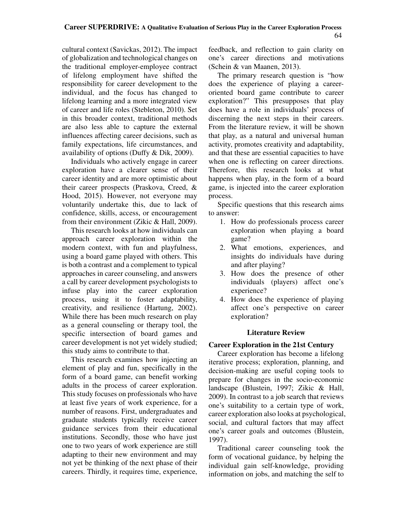cultural context (Savickas, 2012). The impact of globalization and technological changes on the traditional employer-employee contract of lifelong employment have shifted the responsibility for career development to the individual, and the focus has changed to lifelong learning and a more integrated view of career and life roles (Stebleton, 2010). Set in this broader context, traditional methods are also less able to capture the external influences affecting career decisions, such as family expectations, life circumstances, and availability of options (Duffy & Dik, 2009).

Individuals who actively engage in career exploration have a clearer sense of their career identity and are more optimistic about their career prospects (Praskova, Creed, & Hood, 2015). However, not everyone may voluntarily undertake this, due to lack of confidence, skills, access, or encouragement from their environment (Zikic & Hall, 2009).

This research looks at how individuals can approach career exploration within the modern context, with fun and playfulness, using a board game played with others. This is both a contrast and a complement to typical approaches in career counseling, and answers a call by career development psychologists to infuse play into the career exploration process, using it to foster adaptability, creativity, and resilience (Hartung, 2002). While there has been much research on play as a general counseling or therapy tool, the specific intersection of board games and career development is not yet widely studied; this study aims to contribute to that.

This research examines how injecting an element of play and fun, specifically in the form of a board game, can benefit working adults in the process of career exploration. This study focuses on professionals who have at least five years of work experience, for a number of reasons. First, undergraduates and graduate students typically receive career guidance services from their educational institutions. Secondly, those who have just one to two years of work experience are still adapting to their new environment and may not yet be thinking of the next phase of their careers. Thirdly, it requires time, experience, feedback, and reflection to gain clarity on one's career directions and motivations (Schein & van Maanen, 2013).

The primary research question is "how does the experience of playing a careeroriented board game contribute to career exploration?" This presupposes that play does have a role in individuals' process of discerning the next steps in their careers. From the literature review, it will be shown that play, as a natural and universal human activity, promotes creativity and adaptability, and that these are essential capacities to have when one is reflecting on career directions. Therefore, this research looks at what happens when play, in the form of a board game, is injected into the career exploration process.

Specific questions that this research aims to answer:

- 1. How do professionals process career exploration when playing a board game?
- 2. What emotions, experiences, and insights do individuals have during and after playing?
- 3. How does the presence of other individuals (players) affect one's experience?
- 4. How does the experience of playing affect one's perspective on career exploration?

# **Literature Review**

# **Career Exploration in the 21st Century**

Career exploration has become a lifelong iterative process; exploration, planning, and decision-making are useful coping tools to prepare for changes in the socio-economic landscape (Blustein, 1997; Zikic & Hall, 2009). In contrast to a job search that reviews one's suitability to a certain type of work, career exploration also looks at psychological, social, and cultural factors that may affect one's career goals and outcomes (Blustein, 1997).

Traditional career counseling took the form of vocational guidance, by helping the individual gain self-knowledge, providing information on jobs, and matching the self to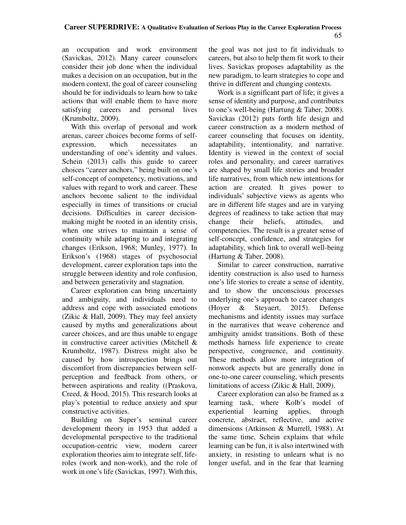an occupation and work environment (Savickas, 2012). Many career counselors consider their job done when the individual makes a decision on an occupation, but in the modern context, the goal of career counseling should be for individuals to learn how to take actions that will enable them to have more satisfying careers and personal lives (Krumboltz, 2009).

With this overlap of personal and work arenas, career choices become forms of selfexpression, which necessitates an understanding of one's identity and values. Schein (2013) calls this guide to career choices "career anchors," being built on one's self-concept of competency, motivations, and values with regard to work and career. These anchors become salient to the individual especially in times of transitions or crucial decisions. Difficulties in career decisionmaking might be rooted in an identity crisis, when one strives to maintain a sense of continuity while adapting to and integrating changes (Erikson, 1968; Munley, 1977). In Erikson's (1968) stages of psychosocial development, career exploration taps into the struggle between identity and role confusion, and between generativity and stagnation.

Career exploration can bring uncertainty and ambiguity, and individuals need to address and cope with associated emotions (Zikic & Hall, 2009). They may feel anxiety caused by myths and generalizations about career choices, and are thus unable to engage in constructive career activities (Mitchell & Krumboltz, 1987). Distress might also be caused by how introspection brings out discomfort from discrepancies between selfperception and feedback from others, or between aspirations and reality ((Praskova, Creed, & Hood, 2015). This research looks at play's potential to reduce anxiety and spur constructive activities.

Building on Super's seminal career development theory in 1953 that added a developmental perspective to the traditional occupation-centric view, modern career exploration theories aim to integrate self, liferoles (work and non-work), and the role of work in one's life (Savickas, 1997). With this,

the goal was not just to fit individuals to careers, but also to help them fit work to their lives. Savickas proposes adaptability as the new paradigm, to learn strategies to cope and thrive in different and changing contexts.

Work is a significant part of life; it gives a sense of identity and purpose, and contributes to one's well-being (Hartung & Taber, 2008). Savickas (2012) puts forth life design and career construction as a modern method of career counseling that focuses on identity, adaptability, intentionality, and narrative. Identity is viewed in the context of social roles and personality, and career narratives are shaped by small life stories and broader life narratives, from which new intentions for action are created. It gives power to individuals' subjective views as agents who are in different life stages and are in varying degrees of readiness to take action that may change their beliefs, attitudes, and competencies. The result is a greater sense of self-concept, confidence, and strategies for adaptability, which link to overall well-being (Hartung & Taber, 2008).

Similar to career construction, narrative identity construction is also used to harness one's life stories to create a sense of identity, and to show the unconscious processes underlying one's approach to career changes (Hoyer & Steyaert, 2015). Defense mechanisms and identity issues may surface in the narratives that weave coherence and ambiguity amidst transitions. Both of these methods harness life experience to create perspective, congruence, and continuity. These methods allow more integration of nonwork aspects but are generally done in one-to-one career counseling, which presents limitations of access (Zikic & Hall, 2009).

Career exploration can also be framed as a learning task, where Kolb's model of experiential learning applies, through concrete, abstract, reflective, and active dimensions (Atkinson & Murrell, 1988). At the same time, Schein explains that while learning can be fun, it is also intertwined with anxiety, in resisting to unlearn what is no longer useful, and in the fear that learning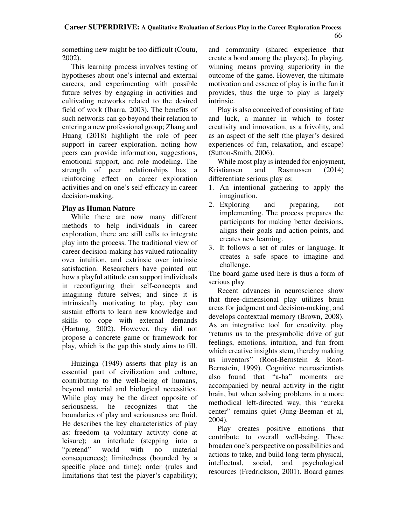something new might be too difficult (Coutu, 2002).

This learning process involves testing of hypotheses about one's internal and external careers, and experimenting with possible future selves by engaging in activities and cultivating networks related to the desired field of work (Ibarra, 2003). The benefits of such networks can go beyond their relation to entering a new professional group; Zhang and Huang (2018) highlight the role of peer support in career exploration, noting how peers can provide information, suggestions, emotional support, and role modeling. The strength of peer relationships has a reinforcing effect on career exploration activities and on one's self-efficacy in career decision-making.

# **Play as Human Nature**

While there are now many different methods to help individuals in career exploration, there are still calls to integrate play into the process. The traditional view of career decision-making has valued rationality over intuition, and extrinsic over intrinsic satisfaction. Researchers have pointed out how a playful attitude can support individuals in reconfiguring their self-concepts and imagining future selves; and since it is intrinsically motivating to play, play can sustain efforts to learn new knowledge and skills to cope with external demands (Hartung, 2002). However, they did not propose a concrete game or framework for play, which is the gap this study aims to fill.

Huizinga (1949) asserts that play is an essential part of civilization and culture, contributing to the well-being of humans, beyond material and biological necessities. While play may be the direct opposite of seriousness, he recognizes that the boundaries of play and seriousness are fluid. He describes the key characteristics of play as: freedom (a voluntary activity done at leisure); an interlude (stepping into a "pretend" world with no material consequences); limitedness (bounded by a specific place and time); order (rules and limitations that test the player's capability); and community (shared experience that create a bond among the players). In playing, winning means proving superiority in the outcome of the game. However, the ultimate motivation and essence of play is in the fun it provides, thus the urge to play is largely intrinsic.

Play is also conceived of consisting of fate and luck, a manner in which to foster creativity and innovation, as a frivolity, and as an aspect of the self (the player's desired experiences of fun, relaxation, and escape) (Sutton-Smith, 2006).

While most play is intended for enjoyment, Kristiansen and Rasmussen (2014) differentiate serious play as:

- 1. An intentional gathering to apply the imagination.
- 2. Exploring and preparing, not implementing. The process prepares the participants for making better decisions, aligns their goals and action points, and creates new learning.
- 3. It follows a set of rules or language. It creates a safe space to imagine and challenge.

The board game used here is thus a form of serious play.

Recent advances in neuroscience show that three-dimensional play utilizes brain areas for judgment and decision-making, and develops contextual memory (Brown, 2008). As an integrative tool for creativity, play "returns us to the presymbolic drive of gut feelings, emotions, intuition, and fun from which creative insights stem, thereby making us inventors" (Root-Bernstein & Root-Bernstein, 1999). Cognitive neuroscientists also found that "a-ha" moments are accompanied by neural activity in the right brain, but when solving problems in a more methodical left-directed way, this "eureka center" remains quiet (Jung-Beeman et al, 2004).

Play creates positive emotions that contribute to overall well-being. These broaden one's perspective on possibilities and actions to take, and build long-term physical, intellectual, social, and psychological resources (Fredrickson, 2001). Board games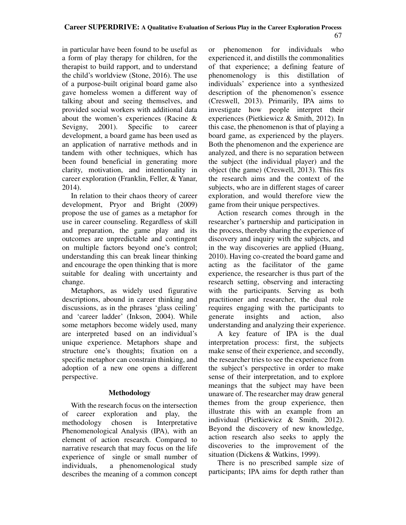in particular have been found to be useful as a form of play therapy for children, for the therapist to build rapport, and to understand the child's worldview (Stone, 2016). The use of a purpose-built original board game also gave homeless women a different way of talking about and seeing themselves, and provided social workers with additional data about the women's experiences (Racine & Sevigny, 2001). Specific to career development, a board game has been used as an application of narrative methods and in tandem with other techniques, which has been found beneficial in generating more clarity, motivation, and intentionality in career exploration (Franklin, Feller, & Yanar, 2014).

In relation to their chaos theory of career development, Pryor and Bright (2009) propose the use of games as a metaphor for use in career counseling. Regardless of skill and preparation, the game play and its outcomes are unpredictable and contingent on multiple factors beyond one's control; understanding this can break linear thinking and encourage the open thinking that is more suitable for dealing with uncertainty and change.

Metaphors, as widely used figurative descriptions, abound in career thinking and discussions, as in the phrases 'glass ceiling' and 'career ladder' (Inkson, 2004). While some metaphors become widely used, many are interpreted based on an individual's unique experience. Metaphors shape and structure one's thoughts; fixation on a specific metaphor can constrain thinking, and adoption of a new one opens a different perspective.

# **Methodology**

With the research focus on the intersection of career exploration and play, the methodology chosen is Interpretative Phenomenological Analysis (IPA), with an element of action research. Compared to narrative research that may focus on the life experience of single or small number of individuals, a phenomenological study describes the meaning of a common concept or phenomenon for individuals who experienced it, and distills the commonalities of that experience; a defining feature of phenomenology is this distillation of individuals' experience into a synthesized description of the phenomenon's essence (Creswell, 2013). Primarily, IPA aims to investigate how people interpret their experiences (Pietkiewicz & Smith, 2012). In this case, the phenomenon is that of playing a board game, as experienced by the players. Both the phenomenon and the experience are analyzed, and there is no separation between the subject (the individual player) and the object (the game) (Creswell, 2013). This fits the research aims and the context of the subjects, who are in different stages of career exploration, and would therefore view the game from their unique perspectives.

Action research comes through in the researcher's partnership and participation in the process, thereby sharing the experience of discovery and inquiry with the subjects, and in the way discoveries are applied (Huang, 2010). Having co-created the board game and acting as the facilitator of the game experience, the researcher is thus part of the research setting, observing and interacting with the participants. Serving as both practitioner and researcher, the dual role requires engaging with the participants to generate insights and action, also understanding and analyzing their experience.

A key feature of IPA is the dual interpretation process: first, the subjects make sense of their experience, and secondly, the researcher tries to see the experience from the subject's perspective in order to make sense of their interpretation, and to explore meanings that the subject may have been unaware of. The researcher may draw general themes from the group experience, then illustrate this with an example from an individual (Pietkiewicz & Smith, 2012). Beyond the discovery of new knowledge, action research also seeks to apply the discoveries to the improvement of the situation (Dickens & Watkins, 1999).

There is no prescribed sample size of participants; IPA aims for depth rather than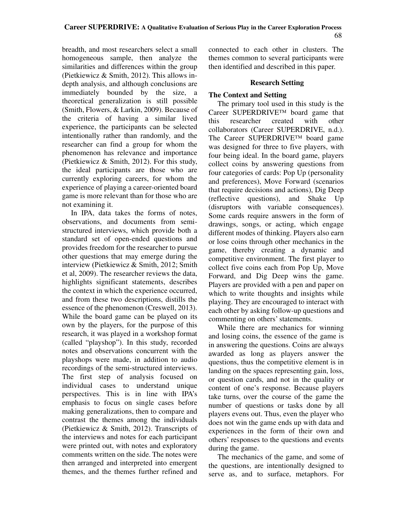breadth, and most researchers select a small homogeneous sample, then analyze the similarities and differences within the group (Pietkiewicz & Smith, 2012). This allows indepth analysis, and although conclusions are immediately bounded by the size, a theoretical generalization is still possible (Smith, Flowers, & Larkin, 2009). Because of the criteria of having a similar lived experience, the participants can be selected intentionally rather than randomly, and the researcher can find a group for whom the phenomenon has relevance and importance (Pietkiewicz & Smith, 2012). For this study, the ideal participants are those who are currently exploring careers, for whom the experience of playing a career-oriented board game is more relevant than for those who are not examining it.

In IPA, data takes the forms of notes, observations, and documents from semistructured interviews, which provide both a standard set of open-ended questions and provides freedom for the researcher to pursue other questions that may emerge during the interview (Pietkiewicz & Smith, 2012; Smith et al, 2009). The researcher reviews the data, highlights significant statements, describes the context in which the experience occurred, and from these two descriptions, distills the essence of the phenomenon (Creswell, 2013). While the board game can be played on its own by the players, for the purpose of this research, it was played in a workshop format (called "playshop"). In this study, recorded notes and observations concurrent with the playshops were made, in addition to audio recordings of the semi-structured interviews. The first step of analysis focused on individual cases to understand unique perspectives. This is in line with IPA's emphasis to focus on single cases before making generalizations, then to compare and contrast the themes among the individuals (Pietkiewicz & Smith, 2012). Transcripts of the interviews and notes for each participant were printed out, with notes and exploratory comments written on the side. The notes were then arranged and interpreted into emergent themes, and the themes further refined and connected to each other in clusters. The themes common to several participants were then identified and described in this paper.

### **Research Setting**

# **The Context and Setting**

The primary tool used in this study is the Career SUPERDRIVE™ board game that this researcher created with other collaborators (Career SUPERDRIVE, n.d.). The Career SUPERDRIVE™ board game was designed for three to five players, with four being ideal. In the board game, players collect coins by answering questions from four categories of cards: Pop Up (personality and preferences), Move Forward (scenarios that require decisions and actions), Dig Deep (reflective questions), and Shake Up (disruptors with variable consequences). Some cards require answers in the form of drawings, songs, or acting, which engage different modes of thinking. Players also earn or lose coins through other mechanics in the game, thereby creating a dynamic and competitive environment. The first player to collect five coins each from Pop Up, Move Forward, and Dig Deep wins the game. Players are provided with a pen and paper on which to write thoughts and insights while playing. They are encouraged to interact with each other by asking follow-up questions and commenting on others' statements.

While there are mechanics for winning and losing coins, the essence of the game is in answering the questions. Coins are always awarded as long as players answer the questions, thus the competitive element is in landing on the spaces representing gain, loss, or question cards, and not in the quality or content of one's response. Because players take turns, over the course of the game the number of questions or tasks done by all players evens out. Thus, even the player who does not win the game ends up with data and experiences in the form of their own and others' responses to the questions and events during the game.

The mechanics of the game, and some of the questions, are intentionally designed to serve as, and to surface, metaphors. For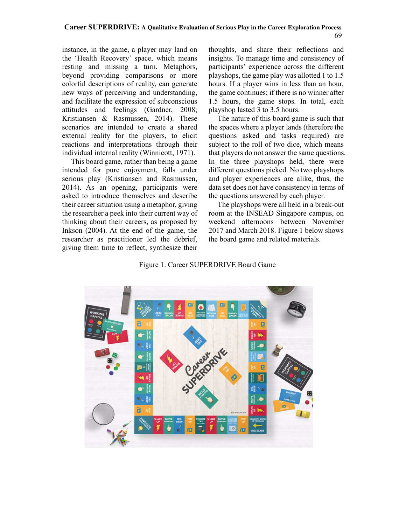instance, in the game, a player may land on the 'Health Recovery' space, which means resting and missing a turn. Metaphors, beyond providing comparisons or more colorful descriptions of reality, can generate new ways of perceiving and understanding, and facilitate the expression of subconscious attitudes and feelings (Gardner, 2008; Kristiansen & Rasmussen, 2014). These scenarios are intended to create a shared external reality for the players, to elicit reactions and interpretations through their individual internal reality (Winnicott, 1971).

This board game, rather than being a game intended for pure enjoyment, falls under serious play (Kristiansen and Rasmussen, 2014). As an opening, participants were asked to introduce themselves and describe their career situation using a metaphor, giving the researcher a peek into their current way of thinking about their careers, as proposed by Inkson (2004). At the end of the game, the researcher as practitioner led the debrief, giving them time to reflect, synthesize their thoughts, and share their reflections and insights. To manage time and consistency of participants' experience across the different playshops, the game play was allotted 1 to 1.5 hours. If a player wins in less than an hour, the game continues; if there is no winner after 1.5 hours, the game stops. In total, each playshop lasted 3 to 3.5 hours.

The nature of this board game is such that the spaces where a player lands (therefore the questions asked and tasks required) are subject to the roll of two dice, which means that players do not answer the same questions. In the three playshops held, there were different questions picked. No two playshops and player experiences are alike, thus, the data set does not have consistency in terms of the questions answered by each player.

The playshops were all held in a break-out room at the INSEAD Singapore campus, on weekend afternoons between November 2017 and March 2018. Figure 1 below shows the board game and related materials.

# Figure 1. Career SUPERDRIVE Board Game

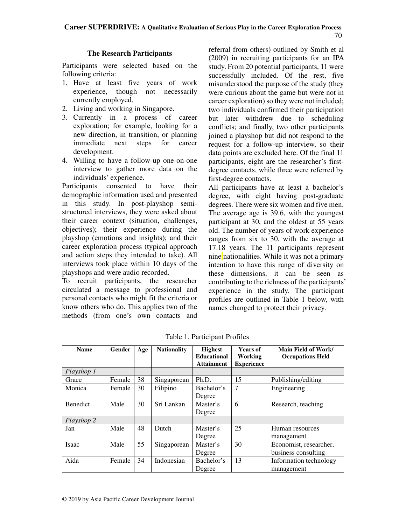# **The Research Participants**

Participants were selected based on the following criteria:

- 1. Have at least five years of work experience, though not necessarily currently employed.
- 2. Living and working in Singapore.
- 3. Currently in a process of career exploration; for example, looking for a new direction, in transition, or planning immediate next steps for career development.
- 4. Willing to have a follow-up one-on-one interview to gather more data on the individuals' experience.

Participants consented to have their demographic information used and presented in this study. In post-playshop semistructured interviews, they were asked about their career context (situation, challenges, objectives); their experience during the playshop (emotions and insights); and their career exploration process (typical approach and action steps they intended to take). All interviews took place within 10 days of the playshops and were audio recorded.

To recruit participants, the researcher circulated a message to professional and personal contacts who might fit the criteria or know others who do. This applies two of the methods (from one's own contacts and

referral from others) outlined by Smith et al (2009) in recruiting participants for an IPA study. From 20 potential participants, 11 were successfully included. Of the rest, five misunderstood the purpose of the study (they were curious about the game but were not in career exploration) so they were not included; two individuals confirmed their participation but later withdrew due to scheduling conflicts; and finally, two other participants joined a playshop but did not respond to the request for a follow-up interview, so their data points are excluded here. Of the final 11 participants, eight are the researcher's firstdegree contacts, while three were referred by first-degree contacts.

All participants have at least a bachelor's degree, with eight having post-graduate degrees. There were six women and five men. The average age is 39.6, with the youngest participant at 30, and the oldest at 55 years old. The number of years of work experience ranges from six to 30, with the average at 17.18 years. The 11 participants represent nine nationalities. While it was not a primary intention to have this range of diversity on these dimensions, it can be seen as contributing to the richness of the participants' experience in the study. The participant profiles are outlined in Table 1 below, with names changed to protect their privacy.

| <b>Name</b>     | Gender | Age | <b>Nationality</b> | <b>Highest</b><br><b>Educational</b><br><b>Attainment</b> | <b>Years of</b><br>Working<br><b>Experience</b> | Main Field of Work/<br><b>Occupations Held</b> |
|-----------------|--------|-----|--------------------|-----------------------------------------------------------|-------------------------------------------------|------------------------------------------------|
| Playshop 1      |        |     |                    |                                                           |                                                 |                                                |
| Grace           | Female | 38  | Singaporean        | Ph.D.                                                     | 15                                              | Publishing/editing                             |
| Monica          | Female | 30  | Filipino           | Bachelor's<br>Degree                                      | 7                                               | Engineering                                    |
| <b>Benedict</b> | Male   | 30  | Sri Lankan         | Master's<br>Degree                                        | 6                                               | Research, teaching                             |
| Playshop 2      |        |     |                    |                                                           |                                                 |                                                |
| Jan             | Male   | 48  | Dutch              | Master's<br>Degree                                        | 25                                              | Human resources<br>management                  |
| Isaac           | Male   | 55  | Singaporean        | Master's<br>Degree                                        | 30                                              | Economist, researcher,<br>business consulting  |
| Aida            | Female | 34  | Indonesian         | Bachelor's<br>Degree                                      | 13                                              | Information technology<br>management           |

Table 1. Participant Profiles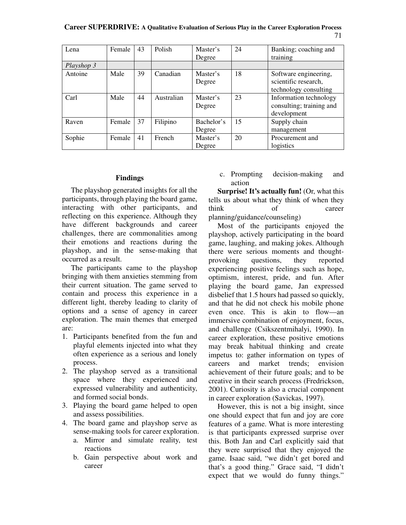**Career SUPERDRIVE: A Qualitative Evaluation of Serious Play in the Career Exploration Process** 71

| Lena       | Female | 43 | Polish     | Master's<br>Degree   | 24 | Banking; coaching and<br>training                                      |
|------------|--------|----|------------|----------------------|----|------------------------------------------------------------------------|
| Playshop 3 |        |    |            |                      |    |                                                                        |
| Antoine    | Male   | 39 | Canadian   | Master's<br>Degree   | 18 | Software engineering,<br>scientific research,<br>technology consulting |
| Carl       | Male   | 44 | Australian | Master's<br>Degree   | 23 | Information technology<br>consulting; training and<br>development      |
| Raven      | Female | 37 | Filipino   | Bachelor's<br>Degree | 15 | Supply chain<br>management                                             |
| Sophie     | Female | 41 | French     | Master's<br>Degree   | 20 | Procurement and<br>logistics                                           |

#### **Findings**

The playshop generated insights for all the participants, through playing the board game, interacting with other participants, and reflecting on this experience. Although they have different backgrounds and career challenges, there are commonalities among their emotions and reactions during the playshop, and in the sense-making that occurred as a result.

The participants came to the playshop bringing with them anxieties stemming from their current situation. The game served to contain and process this experience in a different light, thereby leading to clarity of options and a sense of agency in career exploration. The main themes that emerged are:

- 1. Participants benefited from the fun and playful elements injected into what they often experience as a serious and lonely process.
- 2. The playshop served as a transitional space where they experienced and expressed vulnerability and authenticity, and formed social bonds.
- 3. Playing the board game helped to open and assess possibilities.
- 4. The board game and playshop serve as sense-making tools for career exploration.
	- a. Mirror and simulate reality, test reactions
	- b. Gain perspective about work and career

c. Prompting decision-making and action

**Surprise! It's actually fun!** (Or, what this tells us about what they think of when they think of career planning/guidance/counseling)

Most of the participants enjoyed the playshop, actively participating in the board game, laughing, and making jokes. Although there were serious moments and thoughtprovoking questions, they reported experiencing positive feelings such as hope, optimism, interest, pride, and fun. After playing the board game, Jan expressed disbelief that 1.5 hours had passed so quickly, and that he did not check his mobile phone even once. This is akin to flow—an immersive combination of enjoyment, focus, and challenge (Csikszentmihalyi, 1990). In career exploration, these positive emotions may break habitual thinking and create impetus to: gather information on types of careers and market trends; envision achievement of their future goals; and to be creative in their search process (Fredrickson, 2001). Curiosity is also a crucial component in career exploration (Savickas, 1997).

However, this is not a big insight, since one should expect that fun and joy are core features of a game. What is more interesting is that participants expressed surprise over this. Both Jan and Carl explicitly said that they were surprised that they enjoyed the game. Isaac said, "we didn't get bored and that's a good thing." Grace said, "I didn't expect that we would do funny things."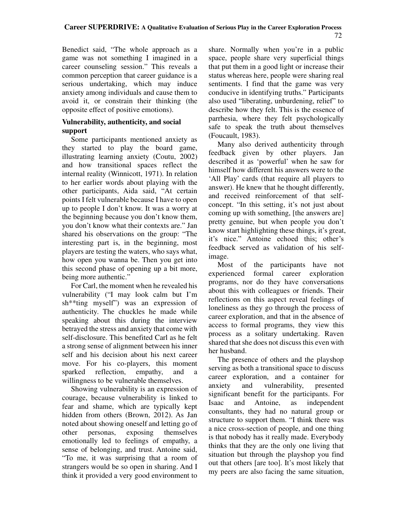Benedict said, "The whole approach as a game was not something I imagined in a career counseling session." This reveals a common perception that career guidance is a serious undertaking, which may induce anxiety among individuals and cause them to avoid it, or constrain their thinking (the opposite effect of positive emotions).

# **Vulnerability, authenticity, and social support**

Some participants mentioned anxiety as they started to play the board game, illustrating learning anxiety (Coutu, 2002) and how transitional spaces reflect the internal reality (Winnicott, 1971). In relation to her earlier words about playing with the other participants, Aida said, "At certain points I felt vulnerable because I have to open up to people I don't know. It was a worry at the beginning because you don't know them, you don't know what their contexts are." Jan shared his observations on the group: "The interesting part is, in the beginning, most players are testing the waters, who says what, how open you wanna be. Then you get into this second phase of opening up a bit more, being more authentic."

For Carl, the moment when he revealed his vulnerability ("I may look calm but I'm sh\*\*ting myself") was an expression of authenticity. The chuckles he made while speaking about this during the interview betrayed the stress and anxiety that come with self-disclosure. This benefited Carl as he felt a strong sense of alignment between his inner self and his decision about his next career move. For his co-players, this moment sparked reflection, empathy, and a willingness to be vulnerable themselves.

Showing vulnerability is an expression of courage, because vulnerability is linked to fear and shame, which are typically kept hidden from others (Brown, 2012). As Jan noted about showing oneself and letting go of other personas, exposing themselves emotionally led to feelings of empathy, a sense of belonging, and trust. Antoine said, "To me, it was surprising that a room of strangers would be so open in sharing. And I think it provided a very good environment to

share. Normally when you're in a public space, people share very superficial things that put them in a good light or increase their status whereas here, people were sharing real sentiments. I find that the game was very conducive in identifying truths." Participants also used "liberating, unburdening, relief" to describe how they felt. This is the essence of parrhesia, where they felt psychologically safe to speak the truth about themselves (Foucault, 1983).

Many also derived authenticity through feedback given by other players. Jan described it as 'powerful' when he saw for himself how different his answers were to the 'All Play' cards (that require all players to answer). He knew that he thought differently, and received reinforcement of that selfconcept. "In this setting, it's not just about coming up with something, [the answers are] pretty genuine, but when people you don't know start highlighting these things, it's great, it's nice." Antoine echoed this; other's feedback served as validation of his selfimage.

Most of the participants have not experienced formal career exploration programs, nor do they have conversations about this with colleagues or friends. Their reflections on this aspect reveal feelings of loneliness as they go through the process of career exploration, and that in the absence of access to formal programs, they view this process as a solitary undertaking. Raven shared that she does not discuss this even with her husband.

The presence of others and the playshop serving as both a transitional space to discuss career exploration, and a container for anxiety and vulnerability, presented significant benefit for the participants. For Isaac and Antoine, as independent consultants, they had no natural group or structure to support them. "I think there was a nice cross-section of people, and one thing is that nobody has it really made. Everybody thinks that they are the only one living that situation but through the playshop you find out that others [are too]. It's most likely that my peers are also facing the same situation,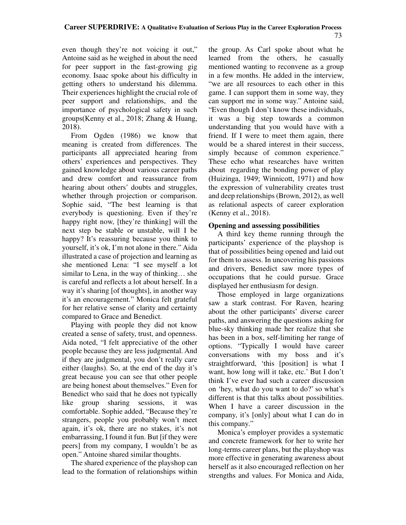even though they're not voicing it out," Antoine said as he weighed in about the need for peer support in the fast-growing gig economy. Isaac spoke about his difficulty in getting others to understand his dilemma. Their experiences highlight the crucial role of peer support and relationships, and the importance of psychological safety in such groups(Kenny et al., 2018; Zhang & Huang, 2018).

From Ogden (1986) we know that meaning is created from differences. The participants all appreciated hearing from others' experiences and perspectives. They gained knowledge about various career paths and drew comfort and reassurance from hearing about others' doubts and struggles, whether through projection or comparison. Sophie said, "The best learning is that everybody is questioning. Even if they're happy right now, [they're thinking] will the next step be stable or unstable, will I be happy? It's reassuring because you think to yourself, it's ok, I'm not alone in there." Aida illustrated a case of projection and learning as she mentioned Lena: "I see myself a lot similar to Lena, in the way of thinking… she is careful and reflects a lot about herself. In a way it's sharing [of thoughts], in another way it's an encouragement." Monica felt grateful for her relative sense of clarity and certainty compared to Grace and Benedict.

Playing with people they did not know created a sense of safety, trust, and openness. Aida noted, "I felt appreciative of the other people because they are less judgmental. And if they are judgmental, you don't really care either (laughs). So, at the end of the day it's great because you can see that other people are being honest about themselves." Even for Benedict who said that he does not typically like group sharing sessions, it was comfortable. Sophie added, "Because they're strangers, people you probably won't meet again, it's ok, there are no stakes, it's not embarrassing, I found it fun. But [if they were peers] from my company, I wouldn't be as open." Antoine shared similar thoughts.

The shared experience of the playshop can lead to the formation of relationships within the group. As Carl spoke about what he learned from the others, he casually mentioned wanting to reconvene as a group in a few months. He added in the interview, "we are all resources to each other in this game. I can support them in some way, they can support me in some way." Antoine said, "Even though I don't know these individuals, it was a big step towards a common understanding that you would have with a friend. If I were to meet them again, there would be a shared interest in their success, simply because of common experience." These echo what researches have written about regarding the bonding power of play (Huizinga, 1949; Winnicott, 1971) and how the expression of vulnerability creates trust and deep relationships (Brown, 2012), as well as relational aspects of career exploration (Kenny et al., 2018).

# **Opening and assessing possibilities**

A third key theme running through the participants' experience of the playshop is that of possibilities being opened and laid out for them to assess. In uncovering his passions and drivers, Benedict saw more types of occupations that he could pursue. Grace displayed her enthusiasm for design.

Those employed in large organizations saw a stark contrast. For Raven, hearing about the other participants' diverse career paths, and answering the questions asking for blue-sky thinking made her realize that she has been in a box, self-limiting her range of options. "Typically I would have career conversations with my boss and it's straightforward, 'this [position] is what I want, how long will it take, etc.' But I don't think I've ever had such a career discussion on 'hey, what do you want to do?' so what's different is that this talks about possibilities. When I have a career discussion in the company, it's [only] about what I can do in this company."

Monica's employer provides a systematic and concrete framework for her to write her long-terms career plans, but the playshop was more effective in generating awareness about herself as it also encouraged reflection on her strengths and values. For Monica and Aida,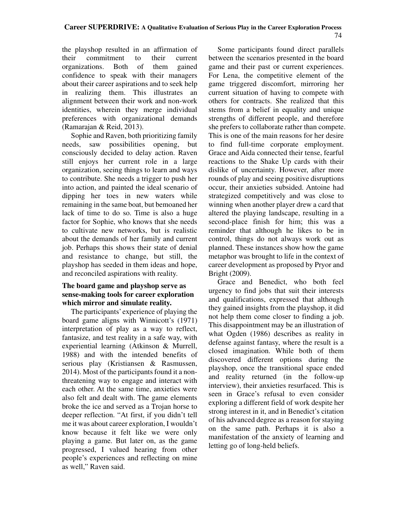the playshop resulted in an affirmation of their commitment to their current organizations. Both of them gained confidence to speak with their managers about their career aspirations and to seek help in realizing them. This illustrates an alignment between their work and non-work identities, wherein they merge individual preferences with organizational demands (Ramarajan & Reid, 2013).

Sophie and Raven, both prioritizing family needs, saw possibilities opening, but consciously decided to delay action. Raven still enjoys her current role in a large organization, seeing things to learn and ways to contribute. She needs a trigger to push her into action, and painted the ideal scenario of dipping her toes in new waters while remaining in the same boat, but bemoaned her lack of time to do so. Time is also a huge factor for Sophie, who knows that she needs to cultivate new networks, but is realistic about the demands of her family and current job. Perhaps this shows their state of denial and resistance to change, but still, the playshop has seeded in them ideas and hope, and reconciled aspirations with reality.

### **The board game and playshop serve as sense-making tools for career exploration which mirror and simulate reality.**

The participants' experience of playing the board game aligns with Winnicott's (1971) interpretation of play as a way to reflect, fantasize, and test reality in a safe way, with experiential learning (Atkinson & Murrell, 1988) and with the intended benefits of serious play (Kristiansen & Rasmussen, 2014). Most of the participants found it a nonthreatening way to engage and interact with each other. At the same time, anxieties were also felt and dealt with. The game elements broke the ice and served as a Trojan horse to deeper reflection. "At first, if you didn't tell me it was about career exploration, I wouldn't know because it felt like we were only playing a game. But later on, as the game progressed, I valued hearing from other people's experiences and reflecting on mine as well," Raven said.

Some participants found direct parallels between the scenarios presented in the board game and their past or current experiences. For Lena, the competitive element of the game triggered discomfort, mirroring her current situation of having to compete with others for contracts. She realized that this stems from a belief in equality and unique strengths of different people, and therefore she prefers to collaborate rather than compete. This is one of the main reasons for her desire to find full-time corporate employment. Grace and Aida connected their tense, fearful reactions to the Shake Up cards with their dislike of uncertainty. However, after more rounds of play and seeing positive disruptions occur, their anxieties subsided. Antoine had strategized competitively and was close to winning when another player drew a card that altered the playing landscape, resulting in a second-place finish for him; this was a reminder that although he likes to be in control, things do not always work out as planned. These instances show how the game metaphor was brought to life in the context of career development as proposed by Pryor and Bright (2009).

Grace and Benedict, who both feel urgency to find jobs that suit their interests and qualifications, expressed that although they gained insights from the playshop, it did not help them come closer to finding a job. This disappointment may be an illustration of what Ogden (1986) describes as reality in defense against fantasy, where the result is a closed imagination. While both of them discovered different options during the playshop, once the transitional space ended and reality returned (in the follow-up interview), their anxieties resurfaced. This is seen in Grace's refusal to even consider exploring a different field of work despite her strong interest in it, and in Benedict's citation of his advanced degree as a reason for staying on the same path. Perhaps it is also a manifestation of the anxiety of learning and letting go of long-held beliefs.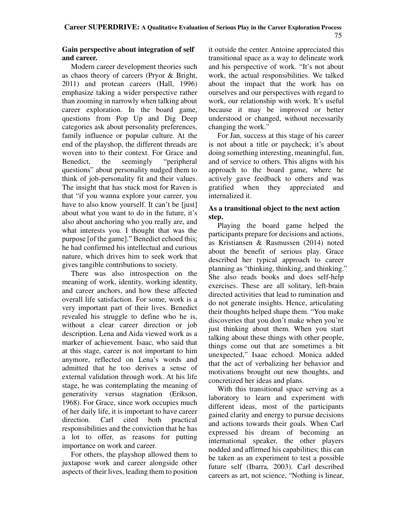# **Gain perspective about integration of self and career.**

Modern career development theories such as chaos theory of careers (Pryor & Bright, 2011) and protean careers (Hall, 1996) emphasize taking a wider perspective rather than zooming in narrowly when talking about career exploration. In the board game, questions from Pop Up and Dig Deep categories ask about personality preferences, family influence or popular culture. At the end of the playshop, the different threads are woven into to their context. For Grace and Benedict, the seemingly "peripheral questions" about personality nudged them to think of job-personality fit and their values. The insight that has stuck most for Raven is that "if you wanna explore your career, you have to also know yourself. It can't be [just] about what you want to do in the future, it's also about anchoring who you really are, and what interests you. I thought that was the purpose [of the game]." Benedict echoed this; he had confirmed his intellectual and curious nature, which drives him to seek work that gives tangible contributions to society.

There was also introspection on the meaning of work, identity, working identity, and career anchors, and how these affected overall life satisfaction. For some, work is a very important part of their lives. Benedict revealed his struggle to define who he is, without a clear career direction or job description. Lena and Aida viewed work as a marker of achievement. Isaac, who said that at this stage, career is not important to him anymore, reflected on Lena's words and admitted that he too derives a sense of external validation through work. At his life stage, he was contemplating the meaning of generativity versus stagnation (Erikson, 1968). For Grace, since work occupies much of her daily life, it is important to have career direction. Carl cited both practical responsibilities and the conviction that he has a lot to offer, as reasons for putting importance on work and career.

For others, the playshop allowed them to juxtapose work and career alongside other aspects of their lives, leading them to position it outside the center. Antoine appreciated this transitional space as a way to delineate work and his perspective of work. "It's not about work, the actual responsibilities. We talked about the impact that the work has on ourselves and our perspectives with regard to work, our relationship with work. It's useful because it may be improved or better understood or changed, without necessarily changing the work."

For Jan, success at this stage of his career is not about a title or paycheck; it's about doing something interesting, meaningful, fun, and of service to others. This aligns with his approach to the board game, where he actively gave feedback to others and was gratified when they appreciated and internalized it.

### **As a transitional object to the next action step.**

Playing the board game helped the participants prepare for decisions and actions, as Kristiansen & Rasmussen (2014) noted about the benefit of serious play. Grace described her typical approach to career planning as "thinking, thinking, and thinking." She also reads books and does self-help exercises. These are all solitary, left-brain directed activities that lead to rumination and do not generate insights. Hence, articulating their thoughts helped shape them. "You make discoveries that you don't make when you're just thinking about them. When you start talking about these things with other people, things come out that are sometimes a bit unexpected," Isaac echoed. Monica added that the act of verbalizing her behavior and motivations brought out new thoughts, and concretized her ideas and plans.

With this transitional space serving as a laboratory to learn and experiment with different ideas, most of the participants gained clarity and energy to pursue decisions and actions towards their goals. When Carl expressed his dream of becoming an international speaker, the other players nodded and affirmed his capabilities; this can be taken as an experiment to test a possible future self (Ibarra, 2003). Carl described careers as art, not science, "Nothing is linear,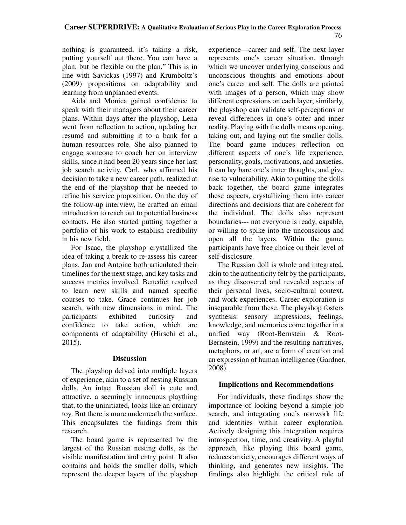nothing is guaranteed, it's taking a risk, putting yourself out there. You can have a plan, but be flexible on the plan." This is in line with Savickas (1997) and Krumboltz's (2009) propositions on adaptability and learning from unplanned events.

Aida and Monica gained confidence to speak with their managers about their career plans. Within days after the playshop, Lena went from reflection to action, updating her resumé and submitting it to a bank for a human resources role. She also planned to engage someone to coach her on interview skills, since it had been 20 years since her last job search activity. Carl, who affirmed his decision to take a new career path, realized at the end of the playshop that he needed to refine his service proposition. On the day of the follow-up interview, he crafted an email introduction to reach out to potential business contacts. He also started putting together a portfolio of his work to establish credibility in his new field.

For Isaac, the playshop crystallized the idea of taking a break to re-assess his career plans. Jan and Antoine both articulated their timelines for the next stage, and key tasks and success metrics involved. Benedict resolved to learn new skills and named specific courses to take. Grace continues her job search, with new dimensions in mind. The participants exhibited curiosity and confidence to take action, which are components of adaptability (Hirschi et al., 2015).

#### **Discussion**

The playshop delved into multiple layers of experience, akin to a set of nesting Russian dolls. An intact Russian doll is cute and attractive, a seemingly innocuous plaything that, to the uninitiated, looks like an ordinary toy. But there is more underneath the surface. This encapsulates the findings from this research.

The board game is represented by the largest of the Russian nesting dolls, as the visible manifestation and entry point. It also contains and holds the smaller dolls, which represent the deeper layers of the playshop experience—career and self. The next layer represents one's career situation, through which we uncover underlying conscious and unconscious thoughts and emotions about one's career and self. The dolls are painted with images of a person, which may show different expressions on each layer; similarly, the playshop can validate self-perceptions or reveal differences in one's outer and inner reality. Playing with the dolls means opening, taking out, and laying out the smaller dolls. The board game induces reflection on different aspects of one's life experience, personality, goals, motivations, and anxieties. It can lay bare one's inner thoughts, and give rise to vulnerability. Akin to putting the dolls back together, the board game integrates these aspects, crystallizing them into career directions and decisions that are coherent for the individual. The dolls also represent boundaries--- not everyone is ready, capable, or willing to spike into the unconscious and open all the layers. Within the game, participants have free choice on their level of self-disclosure.

The Russian doll is whole and integrated, akin to the authenticity felt by the participants, as they discovered and revealed aspects of their personal lives, socio-cultural context, and work experiences. Career exploration is inseparable from these. The playshop fosters synthesis: sensory impressions, feelings, knowledge, and memories come together in a unified way (Root-Bernstein & Root-Bernstein, 1999) and the resulting narratives, metaphors, or art, are a form of creation and an expression of human intelligence (Gardner, 2008).

# **Implications and Recommendations**

For individuals, these findings show the importance of looking beyond a simple job search, and integrating one's nonwork life and identities within career exploration. Actively designing this integration requires introspection, time, and creativity. A playful approach, like playing this board game, reduces anxiety, encourages different ways of thinking, and generates new insights. The findings also highlight the critical role of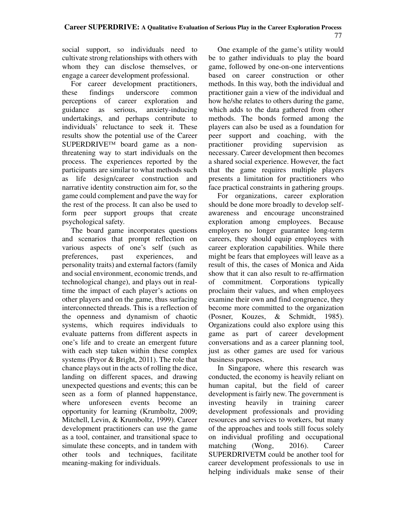social support, so individuals need to cultivate strong relationships with others with whom they can disclose themselves, or engage a career development professional.

For career development practitioners, these findings underscore common perceptions of career exploration and guidance as serious, anxiety-inducing undertakings, and perhaps contribute to individuals' reluctance to seek it. These results show the potential use of the Career SUPERDRIVE™ board game as a nonthreatening way to start individuals on the process. The experiences reported by the participants are similar to what methods such as life design/career construction and narrative identity construction aim for, so the game could complement and pave the way for the rest of the process. It can also be used to form peer support groups that create psychological safety.

The board game incorporates questions and scenarios that prompt reflection on various aspects of one's self (such as preferences, past experiences, and personality traits) and external factors (family and social environment, economic trends, and technological change), and plays out in realtime the impact of each player's actions on other players and on the game, thus surfacing interconnected threads. This is a reflection of the openness and dynamism of chaotic systems, which requires individuals to evaluate patterns from different aspects in one's life and to create an emergent future with each step taken within these complex systems (Pryor & Bright, 2011). The role that chance plays out in the acts of rolling the dice, landing on different spaces, and drawing unexpected questions and events; this can be seen as a form of planned happenstance, where unforeseen events become an opportunity for learning (Krumboltz, 2009; Mitchell, Levin, & Krumboltz, 1999). Career development practitioners can use the game as a tool, container, and transitional space to simulate these concepts, and in tandem with other tools and techniques, facilitate meaning-making for individuals.

One example of the game's utility would be to gather individuals to play the board game, followed by one-on-one interventions based on career construction or other methods. In this way, both the individual and practitioner gain a view of the individual and how he/she relates to others during the game, which adds to the data gathered from other methods. The bonds formed among the players can also be used as a foundation for peer support and coaching, with the practitioner providing supervision as necessary. Career development then becomes a shared social experience. However, the fact that the game requires multiple players presents a limitation for practitioners who face practical constraints in gathering groups.

For organizations, career exploration should be done more broadly to develop selfawareness and encourage unconstrained exploration among employees. Because employers no longer guarantee long-term careers, they should equip employees with career exploration capabilities. While there might be fears that employees will leave as a result of this, the cases of Monica and Aida show that it can also result to re-affirmation of commitment. Corporations typically proclaim their values, and when employees examine their own and find congruence, they become more committed to the organization (Posner, Kouzes, & Schmidt, 1985). Organizations could also explore using this game as part of career development conversations and as a career planning tool, just as other games are used for various business purposes.

In Singapore, where this research was conducted, the economy is heavily reliant on human capital, but the field of career development is fairly new. The government is investing heavily in training career development professionals and providing resources and services to workers, but many of the approaches and tools still focus solely on individual profiling and occupational matching (Wong, 2016). Career SUPERDRIVETM could be another tool for career development professionals to use in helping individuals make sense of their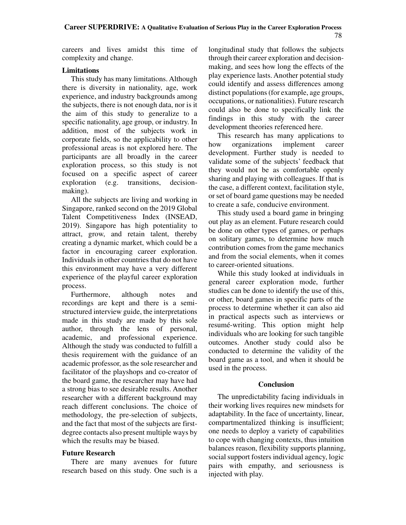careers and lives amidst this time of complexity and change.

# **Limitations**

This study has many limitations. Although there is diversity in nationality, age, work experience, and industry backgrounds among the subjects, there is not enough data, nor is it the aim of this study to generalize to a specific nationality, age group, or industry. In addition, most of the subjects work in corporate fields, so the applicability to other professional areas is not explored here. The participants are all broadly in the career exploration process, so this study is not focused on a specific aspect of career exploration (e.g. transitions, decisionmaking).

All the subjects are living and working in Singapore, ranked second on the 2019 Global Talent Competitiveness Index (INSEAD, 2019). Singapore has high potentiality to attract, grow, and retain talent, thereby creating a dynamic market, which could be a factor in encouraging career exploration. Individuals in other countries that do not have this environment may have a very different experience of the playful career exploration process.

Furthermore, although notes and recordings are kept and there is a semistructured interview guide, the interpretations made in this study are made by this sole author, through the lens of personal, academic, and professional experience. Although the study was conducted to fulfill a thesis requirement with the guidance of an academic professor, as the sole researcher and facilitator of the playshops and co-creator of the board game, the researcher may have had a strong bias to see desirable results. Another researcher with a different background may reach different conclusions. The choice of methodology, the pre-selection of subjects, and the fact that most of the subjects are firstdegree contacts also present multiple ways by which the results may be biased.

#### **Future Research**

There are many avenues for future research based on this study. One such is a longitudinal study that follows the subjects through their career exploration and decisionmaking, and sees how long the effects of the play experience lasts. Another potential study could identify and assess differences among distinct populations (for example, age groups, occupations, or nationalities). Future research could also be done to specifically link the findings in this study with the career development theories referenced here.

This research has many applications to how organizations implement career development. Further study is needed to validate some of the subjects' feedback that they would not be as comfortable openly sharing and playing with colleagues. If that is the case, a different context, facilitation style, or set of board game questions may be needed to create a safe, conducive environment.

This study used a board game in bringing out play as an element. Future research could be done on other types of games, or perhaps on solitary games, to determine how much contribution comes from the game mechanics and from the social elements, when it comes to career-oriented situations.

While this study looked at individuals in general career exploration mode, further studies can be done to identify the use of this, or other, board games in specific parts of the process to determine whether it can also aid in practical aspects such as interviews or resumé-writing. This option might help individuals who are looking for such tangible outcomes. Another study could also be conducted to determine the validity of the board game as a tool, and when it should be used in the process.

#### **Conclusion**

The unpredictability facing individuals in their working lives requires new mindsets for adaptability. In the face of uncertainty, linear, compartmentalized thinking is insufficient; one needs to deploy a variety of capabilities to cope with changing contexts, thus intuition balances reason, flexibility supports planning, social support fosters individual agency, logic pairs with empathy, and seriousness is injected with play.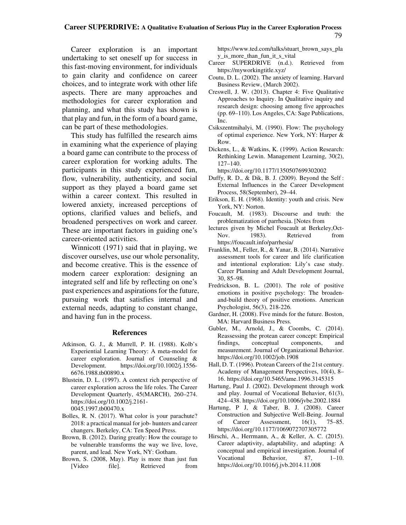#### **Career SUPERDRIVE: A Qualitative Evaluation of Serious Play in the Career Exploration Process** 79

Career exploration is an important undertaking to set oneself up for success in this fast-moving environment, for individuals to gain clarity and confidence on career choices, and to integrate work with other life aspects. There are many approaches and methodologies for career exploration and planning, and what this study has shown is that play and fun, in the form of a board game, can be part of these methodologies.

This study has fulfilled the research aims in examining what the experience of playing a board game can contribute to the process of career exploration for working adults. The participants in this study experienced fun, flow, vulnerability, authenticity, and social support as they played a board game set within a career context. This resulted in lowered anxiety, increased perceptions of options, clarified values and beliefs, and broadened perspectives on work and career. These are important factors in guiding one's career-oriented activities.

Winnicott (1971) said that in playing, we discover ourselves, use our whole personality, and become creative. This is the essence of modern career exploration: designing an integrated self and life by reflecting on one's past experiences and aspirations for the future, pursuing work that satisfies internal and external needs, adapting to constant change, and having fun in the process.

#### **References**

- Atkinson, G. J., & Murrell, P. H. (1988). Kolb's Experiential Learning Theory: A meta‐model for career exploration. Journal of Counseling & Development. https://doi.org/10.1002/j.1556- 6676.1988.tb00890.x
- Blustein, D. L. (1997). A context rich perspective of career exploration across the life roles. The Career Development Quarterly, 45(MARCH), 260–274. https://doi.org/10.1002/j.2161- 0045.1997.tb00470.x
- Bolles, R. N. (2017). What color is your parachute? 2018: a practical manual for job- hunters and career changers. Berkeley, CA: Ten Speed Press.
- Brown, B. (2012). Daring greatly: How the courage to be vulnerable transforms the way we live, love, parent, and lead. New York, NY: Gotham.
- Brown, S. (2008, May). Play is more than just fun [Video file]. Retrieved from

https://www.ted.com/talks/stuart\_brown\_says\_pla y is more than fun it s vital

- Career SUPERDRIVE (n.d.). Retrieved from https://myworkingtitle.xyz/
- Coutu, D. L. (2002). The anxiety of learning. Harvard Business Review, (March 2002).
- Creswell, J. W. (2013). Chapter 4: Five Qualitative Approaches to Inquiry. In Qualitative inquiry and research design: choosing among five approaches (pp. 69–110). Los Angeles, CA: Sage Publications, Inc.
- Csikszentmihalyi, M. (1990). Flow: The psychology of optimal experience. New York, NY: Harper & Row.
- Dickens, L., & Watkins, K. (1999). Action Research: Rethinking Lewin. Management Learning, 30(2), 127–140.
- https://doi.org/10.1177/1350507699302002 Duffy, R. D., & Dik, B. J. (2009). Beyond the Self :
- External Influences in the Career Development Process, 58(September), 29–44.
- Erikson, E. H. (1968). Identity: youth and crisis. New York, NY: Norton.
- Foucault, M. (1983). Discourse and truth: the problematization of parrhesia. [Notes from
- lectures given by Michel Foucault at Berkeley,Oct-Nov. 1983). Retrieved from https://foucault.info/parrhesia/
- Franklin, M., Feller, R., & Yanar, B. (2014). Narrative assessment tools for career and life clarification and intentional exploration: Lily's case study. Career Planning and Adult Development Journal, 30, 85–98.
- Fredrickson, B. L. (2001). The role of positive emotions in positive psychology: The broadenand-build theory of positive emotions. American Psychologist, 56(3), 218-226.
- Gardner, H. (2008). Five minds for the future. Boston, MA: Harvard Business Press.
- Gubler, M., Arnold, J., & Coombs, C. (2014). Reassessing the protean career concept: Empirical findings, conceptual components, and measurement. Journal of Organizational Behavior. https://doi.org/10.1002/job.1908
- Hall, D. T. (1996). Protean Careers of the 21st century. Academy of Management Perspectives, 10(4), 8– 16. https://doi.org/10.5465/ame.1996.3145315
- Hartung, Paul J. (2002). Development through work and play. Journal of Vocational Behavior, 61(3), 424–438. https://doi.org/10.1006/jvbe.2002.1884
- Hartung, P J, & Taber, B. J. (2008). Career Construction and Subjective Well-Being. Journal of Career Assessment, 16(1), 75–85. https://doi.org/10.1177/1069072707305772
- Hirschi, A., Herrmann, A., & Keller, A. C. (2015). Career adaptivity, adaptability, and adapting: A conceptual and empirical investigation. Journal of Vocational Behavior, 87, 1–10. https://doi.org/10.1016/j.jvb.2014.11.008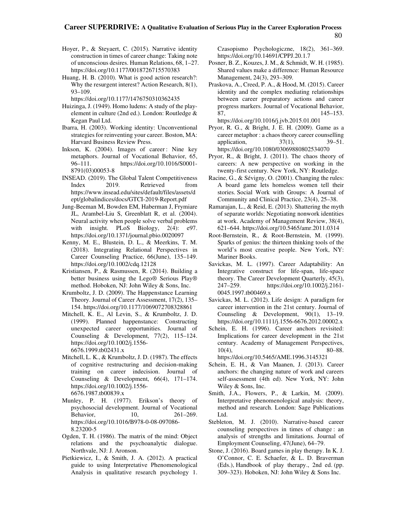#### **Career SUPERDRIVE: A Qualitative Evaluation of Serious Play in the Career Exploration Process** 80

- Hoyer, P., & Steyaert, C. (2015). Narrative identity construction in times of career change: Taking note of unconscious desires. Human Relations, 68, 1–27. https://doi.org/10.1177/0018726715570383
- Huang, H. B. (2010). What is good action research?: Why the resurgent interest? Action Research, 8(1), 93–109.

https://doi.org/10.1177/1476750310362435

Huizinga, J. (1949). Homo ludens: A study of the playelement in culture (2nd ed.). London: Routledge & Kegan Paul Ltd.

Ibarra, H. (2003). Working identity: Unconventional strategies for reinventing your career. Boston, MA: Harvard Business Review Press.

Inkson, K. (2004). Images of career : Nine key metaphors. Journal of Vocational Behavior, 65, 96–111. https://doi.org/10.1016/S0001- 8791(03)00053-8

INSEAD. (2019). The Global Talent Competitiveness<br>Index 2019. Retrieved from Index 2019. Retrieved from https://www.insead.edu/sites/default/files/assets/d ept/globalindices/docs/GTCI-2019-Report.pdf

Jung-Beeman M, Bowden EM, Haberman J, Frymiare JL, Arambel-Liu S, Greenblatt R, et al. (2004). Neural activity when people solve verbal problems with insight. PLoS Biology, 2(4): e97. https://doi.org/10.1371/journal.pbio.0020097

Kenny, M. E., Blustein, D. L., & Meerkins, T. M. (2018). Integrating Relational Perspectives in Career Counseling Practice, 66(June), 135–149. https://doi.org/10.1002/cdq.12128

Kristiansen, P., & Rasmussen, R. (2014). Building a better business using the Lego® Serious Play® method. Hoboken, NJ: John Wiley & Sons, Inc.

Krumboltz, J. D. (2009). The Happenstance Learning Theory. Journal of Career Assessment, 17(2), 135– 154. https://doi.org/10.1177/1069072708328861

Mitchell, K. E., Al Levin, S., & Krumboltz, J. D. (1999). Planned happenstance: Constructing unexpected career opportunities. Journal of Counseling & Development, 77(2), 115–124. https://doi.org/10.1002/j.1556- 6676.1999.tb02431.x

- Mitchell, L. K., & Krumboltz, J. D. (1987). The effects of cognitive restructuring and decision‐making training on career indecision. Journal of Counseling & Development, 66(4), 171–174. https://doi.org/10.1002/j.1556- 6676.1987.tb00839.x
- Munley, P. H. (1977). Erikson's theory of psychosocial development. Journal of Vocational<br>Behavior, 10, 261-269. Behavior, 10, https://doi.org/10.1016/B978-0-08-097086- 8.23200-5
- Ogden, T. H. (1986). The matrix of the mind: Object relations and the psychoanalytic dialogue. Northvale, NJ: J. Aronson.
- Pietkiewicz, I., & Smith, J. A. (2012). A practical guide to using Interpretative Phenomenological Analysis in qualitative research psychology 1.

Czasopismo Psychologiczne, 18(2), 361–369. https://doi.org/10.14691/CPPJ.20.1.7

- Posner, B. Z., Kouzes, J. M., & Schmidt, W. H. (1985). Shared values make a difference: Human Resource Management, 24(3), 293–309.
- Praskova, A., Creed, P. A., & Hood, M. (2015). Career identity and the complex mediating relationships between career preparatory actions and career progress markers. Journal of Vocational Behavior, 87, 145–153. https://doi.org/10.1016/j.jvb.2015.01.001
- Pryor, R. G., & Bright, J. E. H. (2009). Game as a career metaphor : a chaos theory career counselling application, 37(1), 39–51. https://doi.org/10.1080/03069880802534070
- Pryor, R., & Bright, J. (2011). The chaos theory of careers: A new perspective on working in the twenty-first century. New York, NY: Routledge.

Racine, G., & Sévigny, O. (2001). Changing the rules: A board game lets homeless women tell their stories. Social Work with Groups: A Journal of Community and Clinical Practice, 23(4), 25–38.

Ramarajan, L., & Reid, E. (2013). Shattering the myth of separate worlds: Negotiating nonwork identities at work. Academy of Management Review, 38(4), 621–644. https://doi.org/10.5465/amr.2011.0314

Root-Bernstein, R., & Root-Bernstein, M. (1999). Sparks of genius: the thirteen thinking tools of the world's most creative people. New York, NY: Mariner Books.

Savickas, M. L. (1997). Career Adaptability: An Integrative construct for life-span, life-space theory. The Career Development Quarterly, 45(3), 247–259. https://doi.org/10.1002/j.2161- 0045.1997.tb00469.x

Savickas, M. L. (2012). Life design: A paradigm for career intervention in the 21st century. Journal of Counseling & Development, 90(1), 13–19. https://doi.org/10.1111/j.1556-6676.2012.00002.x

Schein, E. H. (1996). Career anchors revisited: Implications for career development in the 21st century. Academy of Management Perspectives, 10(4), 80–88.

https://doi.org/10.5465/AME.1996.3145321

- Schein, E. H., & Van Maanen, J. (2013). Career anchors: the changing nature of work and careers self-assessment (4th ed). New York, NY: John Wiley & Sons, Inc.
- Smith, J.A., Flowers, P., & Larkin, M. (2009). Interpretative phenomenological analysis: theory, method and research. London: Sage Publications Ltd.
- Stebleton, M. J. (2010). Narrative-based career counseling perspectives in times of change : an analysis of strengths and limitations. Journal of Employment Counseling, 47(June), 64–79.
- Stone, J. (2016). Board games in play therapy. In K. J. O'Connor, C. E. Schaefer, & L. D. Braverman (Eds.), Handbook of play therapy., 2nd ed. (pp. 309–323). Hoboken, NJ: John Wiley & Sons Inc.